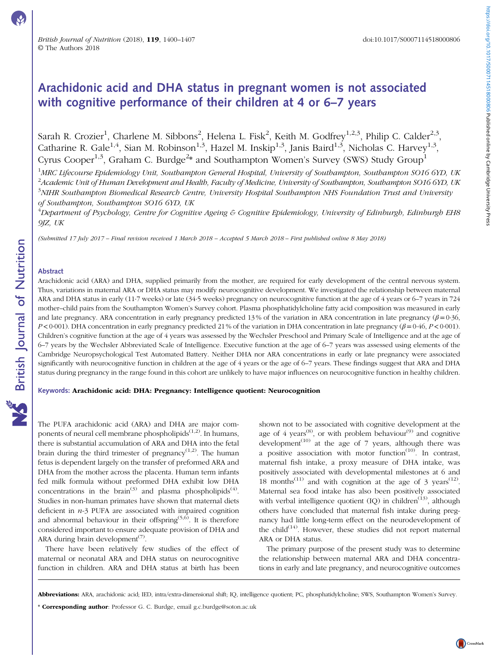# Arachidonic acid and DHA status in pregnant women is not associated with cognitive performance of their children at 4 or 6–7 years

Sarah R. Crozier<sup>1</sup>, Charlene M. Sibbons<sup>2</sup>, Helena L. Fisk<sup>2</sup>, Keith M. Godfrey<sup>1,2,3</sup>, Philip C. Calder<sup>2,3</sup>, Catharine R. Gale<sup>1,4</sup>, Sian M. Robinson<sup>1,3</sup>, Hazel M. Inskip<sup>1,3</sup>, Janis Baird<sup>1,3</sup>, Nicholas C. Harvey<sup>1,3</sup>, Cyrus Cooper<sup>1,3</sup>, Graham C. Burdge<sup>2\*</sup> and Southampton Women's Survey (SWS) Study Group<sup>1</sup>

<sup>1</sup>MRC Lifecourse Epidemiology Unit, Southampton General Hospital, University of Southampton, Southampton SO16 6YD, UK  $^2$ Academic Unit of Human Development and Health, Faculty of Medicine, University of Southampton, Southampton SO16 6YD, UK  $^3$ NIHR Southampton Biomedical Research Centre, University Hospital Southampton NHS Foundation Trust and University of Southampton, Southampton SO16 6YD, UK

 $^4$ Department of Psychology, Centre for Cognitive Ageing & Cognitive Epidemiology, University of Edinburgh, Edinburgh EH8 9JZ, UK

(Submitted 17 July 2017 – Final revision received 1 March 2018 – Accepted 5 March 2018 – First published online 8 May 2018)

### Abstract

Arachidonic acid (ARA) and DHA, supplied primarily from the mother, are required for early development of the central nervous system. Thus, variations in maternal ARA or DHA status may modify neurocognitive development. We investigated the relationship between maternal ARA and DHA status in early (11·7 weeks) or late (34·5 weeks) pregnancy on neurocognitive function at the age of 4 years or 6–7 years in 724 mother–child pairs from the Southampton Women's Survey cohort. Plasma phosphatidylcholine fatty acid composition was measured in early and late pregnancy. ARA concentration in early pregnancy predicted 13% of the variation in ARA concentration in late pregnancy ( $\beta$  = 0·36,  $P<0.001$ ). DHA concentration in early pregnancy predicted 21% of the variation in DHA concentration in late pregnancy ( $\beta = 0.46$ ,  $P<0.001$ ). Children's cognitive function at the age of 4 years was assessed by the Wechsler Preschool and Primary Scale of Intelligence and at the age of 6–7 years by the Wechsler Abbreviated Scale of Intelligence. Executive function at the age of 6–7 years was assessed using elements of the Cambridge Neuropsychological Test Automated Battery. Neither DHA nor ARA concentrations in early or late pregnancy were associated significantly with neurocognitive function in children at the age of 4 years or the age of 6–7 years. These findings suggest that ARA and DHA status during pregnancy in the range found in this cohort are unlikely to have major influences on neurocognitive function in healthy children.

## Keywords: Arachidonic acid: DHA: Pregnancy: Intelligence quotient: Neurocognition

The PUFA arachidonic acid (ARA) and DHA are major components of neural cell membrane phospholipids $(1,2)$ . In humans, there is substantial accumulation of ARA and DHA into the fetal brain during the third trimester of pregnancy $(1,2)$  $(1,2)$  $(1,2)$  $(1,2)$  $(1,2)$ . The human fetus is dependent largely on the transfer of preformed ARA and DHA from the mother across the placenta. Human term infants fed milk formula without preformed DHA exhibit low DHA concentrations in the brain<sup>([3](#page-6-0))</sup> and plasma phospholipids<sup>[\(4\)](#page-6-0)</sup>. Studies in non-human primates have shown that maternal diets deficient in  $n-3$  PUFA are associated with impaired cognition and abnormal behaviour in their offspring<sup> $(5,6)$  $(5,6)$  $(5,6)$  $(5,6)$  $(5,6)$ </sup>. It is therefore considered important to ensure adequate provision of DHA and ARA during brain development<sup> $(7)$ </sup>.

There have been relatively few studies of the effect of maternal or neonatal ARA and DHA status on neurocognitive function in children. ARA and DHA status at birth has been

shown not to be associated with cognitive development at the age of 4 years<sup>([8](#page-6-0))</sup>, or with problem behaviour<sup>([9](#page-6-0))</sup> and cognitive development<sup>([10](#page-6-0))</sup> at the age of 7 years, although there was a positive association with motor function $(10)$  $(10)$  $(10)$ . In contrast, maternal fish intake, a proxy measure of DHA intake, was positively associated with developmental milestones at 6 and 18 months<sup>([11](#page-6-0))</sup> and with cognition at the age of 3 years<sup>[\(12\)](#page-6-0)</sup>. Maternal sea food intake has also been positively associated with verbal intelligence quotient  $(IQ)$  in children<sup> $(i_3)$ </sup>, although others have concluded that maternal fish intake during pregnancy had little long-term effect on the neurodevelopment of the child $(14)$ . However, these studies did not report maternal ARA or DHA status.

The primary purpose of the present study was to determine the relationship between maternal ARA and DHA concentrations in early and late pregnancy, and neurocognitive outcomes

Abbreviations: ARA, arachidonic acid; IED, intra/extra-dimensional shift; IQ, intelligence quotient; PC, phosphatidylcholine; SWS, Southampton Women's Survey.

<sup>\*</sup> Corresponding author: Professor G. C. Burdge, email [g.c.burdge@soton.ac.uk](mailto:g.c.burdge@soton.ac.uk)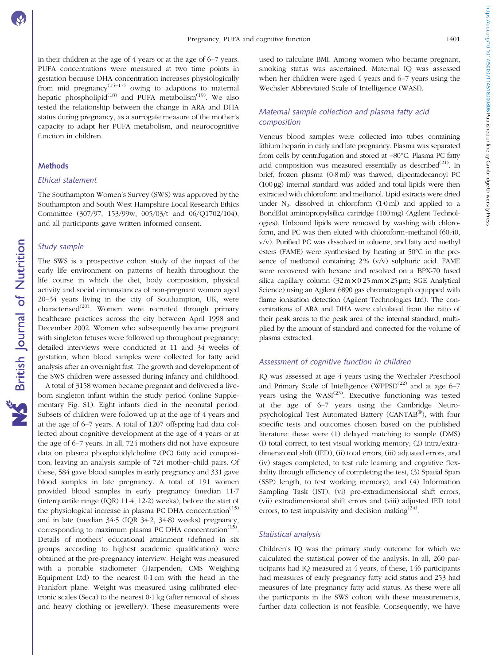https://doi.org/10.1017/50007114518000806 Published online by Cambridge University Press https://doi.org/10.1017/S0007114518000806 Published online by Cambridge University Press

in their children at the age of 4 years or at the age of 6–7 years. PUFA concentrations were measured at two time points in gestation because DHA concentration increases physiologically from mid pregnancy<sup>([15](#page-6-0)–[17\)](#page-6-0)</sup> owing to adaptions to maternal hepatic phospholipid<sup>([18](#page-6-0))</sup> and PUFA metabolism<sup>[\(19](#page-6-0))</sup>. We also tested the relationship between the change in ARA and DHA status during pregnancy, as a surrogate measure of the mother's capacity to adapt her PUFA metabolism, and neurocognitive function in children.

### Methods

### Ethical statement

The Southampton Women's Survey (SWS) was approved by the Southampton and South West Hampshire Local Research Ethics Committee (307/97, 153/99w, 005/03/t and 06/Q1702/104), and all participants gave written informed consent.

### Study sample

The SWS is a prospective cohort study of the impact of the early life environment on patterns of health throughout the life course in which the diet, body composition, physical activity and social circumstances of non-pregnant women aged 20–34 years living in the city of Southampton, UK, were characterised<sup>([20](#page-6-0))</sup>. Women were recruited through primary healthcare practices across the city between April 1998 and December 2002. Women who subsequently became pregnant with singleton fetuses were followed up throughout pregnancy; detailed interviews were conducted at 11 and 34 weeks of gestation, when blood samples were collected for fatty acid analysis after an overnight fast. The growth and development of the SWS children were assessed during infancy and childhood.

A total of 3158 women became pregnant and delivered a liveborn singleton infant within the study period (online Supplementary Fig. S1). Eight infants died in the neonatal period. Subsets of children were followed up at the age of 4 years and at the age of 6–7 years. A total of 1207 offspring had data collected about cognitive development at the age of 4 years or at the age of 6–7 years. In all, 724 mothers did not have exposure data on plasma phosphatidylcholine (PC) fatty acid composition, leaving an analysis sample of 724 mother–child pairs. Of these, 584 gave blood samples in early pregnancy and 331 gave blood samples in late pregnancy. A total of 191 women provided blood samples in early pregnancy (median 11·7 (interquartile range (IQR) 11·4, 12·2) weeks), before the start of the physiological increase in plasma PC DHA concentration<sup>[\(15](#page-6-0))</sup> and in late (median 34·5 (IQR 34·2, 34·8) weeks) pregnancy, corresponding to maximum plasma PC DHA concentration<sup> $(15)$ </sup>. Details of mothers' educational attainment (defined in six groups according to highest academic qualification) were obtained at the pre-pregnancy interview. Height was measured with a portable stadiometer (Harpenden; CMS Weighing Equipment Ltd) to the nearest 0·1 cm with the head in the Frankfort plane. Weight was measured using calibrated electronic scales (Seca) to the nearest 0·1 kg (after removal of shoes and heavy clothing or jewellery). These measurements were

used to calculate BMI. Among women who became pregnant, smoking status was ascertained. Maternal IQ was assessed when her children were aged 4 years and 6–7 years using the Wechsler Abbreviated Scale of Intelligence (WASI).

# Maternal sample collection and plasma fatty acid composition

Venous blood samples were collected into tubes containing lithium heparin in early and late pregnancy. Plasma was separated from cells by centrifugation and stored at −80°C. Plasma PC fatty acid composition was measured essentially as described $(21)$  $(21)$ . In brief, frozen plasma (0·8 ml) was thawed, dipentadecanoyl PC (100 µg) internal standard was added and total lipids were then extracted with chloroform and methanol. Lipid extracts were dried under  $N_2$ , dissolved in chloroform  $(1.0 \text{ ml})$  and applied to a BondElut aminopropylsilica cartridge (100 mg) (Agilent Technologies). Unbound lipids were removed by washing with chloroform, and PC was then eluted with chloroform–methanol (60:40, v/v). Purified PC was dissolved in toluene, and fatty acid methyl esters (FAME) were synthesised by heating at 50°C in the presence of methanol containing  $2\%$  (v/v) sulphuric acid. FAME were recovered with hexane and resolved on a BPX-70 fused silica capillary column  $(32 \text{ m} \times 0.25 \text{ mm} \times 25 \text{ µm}$ ; SGE Analytical Science) using an Agilent 6890 gas chromatograph equipped with flame ionisation detection (Agilent Technologies Ltd). The concentrations of ARA and DHA were calculated from the ratio of their peak areas to the peak area of the internal standard, multiplied by the amount of standard and corrected for the volume of plasma extracted.

### Assessment of cognitive function in children

IQ was assessed at age 4 years using the Wechsler Preschool and Primary Scale of Intelligence  $(WPPSI)^{(22)}$  $(WPPSI)^{(22)}$  $(WPPSI)^{(22)}$  and at age 6–7 years using the WASI<sup>[\(23](#page-7-0))</sup>. Executive functioning was tested at the age of 6–7 years using the Cambridge Neuropsychological Test Automated Battery (CANTAB®), with four specific tests and outcomes chosen based on the published literature: these were (1) delayed matching to sample (DMS) (i) total correct, to test visual working memory; (2) intra/extradimensional shift (IED), (ii) total errors, (iii) adjusted errors, and (iv) stages completed, to test rule learning and cognitive flexibility through efficiency of completing the test, (3) Spatial Span (SSP) length, to test working memory), and (4) Information Sampling Task (IST), (vi) pre-extradimensional shift errors, (vii) extradimensional shift errors and (viii) adjusted IED total errors, to test impulsivity and decision making<sup>[\(24\)](#page-7-0)</sup>.

### Statistical analysis

Children's IQ was the primary study outcome for which we calculated the statistical power of the analysis. In all, 260 participants had IQ measured at 4 years; of these, 146 participants had measures of early pregnancy fatty acid status and 253 had measures of late pregnancy fatty acid status. As these were all the participants in the SWS cohort with these measurements, further data collection is not feasible. Consequently, we have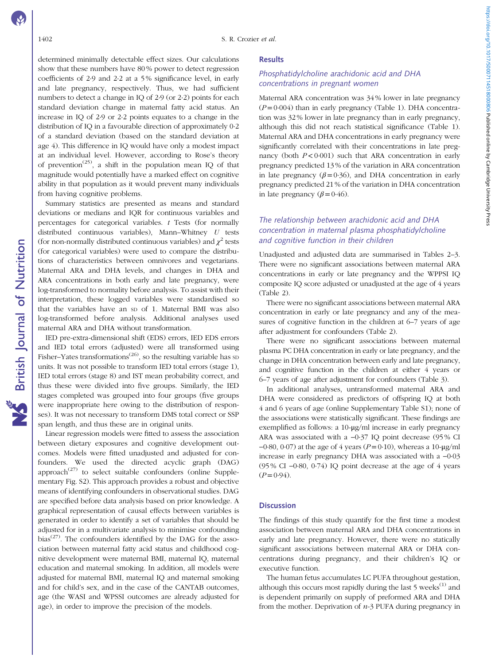determined minimally detectable effect sizes. Our calculations show that these numbers have 80 % power to detect regression coefficients of 2·9 and 2·2 at a 5 % significance level, in early and late pregnancy, respectively. Thus, we had sufficient numbers to detect a change in IQ of 2·9 (or 2·2) points for each standard deviation change in maternal fatty acid status. An increase in IQ of 2·9 or 2·2 points equates to a change in the distribution of IQ in a favourable direction of approximately 0·2 of a standard deviation (based on the standard deviation at age 4). This difference in IQ would have only a modest impact at an individual level. However, according to Rose's theory of prevention<sup>([25\)](#page-7-0)</sup>, a shift in the population mean IQ of that magnitude would potentially have a marked effect on cognitive ability in that population as it would prevent many individuals from having cognitive problems.

Summary statistics are presented as means and standard deviations or medians and IQR for continuous variables and percentages for categorical variables.  $t$  Tests (for normally distributed continuous variables), Mann–Whitney U tests (for non-normally distributed continuous variables) and  $\chi^2$  tests (for categorical variables) were used to compare the distributions of characteristics between omnivores and vegetarians. Maternal ARA and DHA levels, and changes in DHA and ARA concentrations in both early and late pregnancy, were log-transformed to normality before analysis. To assist with their interpretation, these logged variables were standardised so that the variables have an sp of 1. Maternal BMI was also log-transformed before analysis. Additional analyses used maternal ARA and DHA without transformation.

IED pre-extra-dimensional shift (EDS) errors, IED EDS errors and IED total errors (adjusted) were all transformed using Fisher–Yates transformations<sup> $(26)$  $(26)$ </sup>, so the resulting variable has sp units. It was not possible to transform IED total errors (stage 1), IED total errors (stage 8) and IST mean probability correct, and thus these were divided into five groups. Similarly, the IED stages completed was grouped into four groups (five groups were inappropriate here owing to the distribution of responses). It was not necessary to transform DMS total correct or SSP span length, and thus these are in original units.

Linear regression models were fitted to assess the association between dietary exposures and cognitive development outcomes. Models were fitted unadjusted and adjusted for confounders. We used the directed acyclic graph (DAG) approach<sup> $(27)$  $(27)$  $(27)$ </sup> to select suitable confounders (online Supplementary Fig. S2). This approach provides a robust and objective means of identifying confounders in observational studies. DAG are specified before data analysis based on prior knowledge. A graphical representation of causal effects between variables is generated in order to identify a set of variables that should be adjusted for in a multivariate analysis to minimise confounding bias $^{(27)}$  $^{(27)}$  $^{(27)}$ . The confounders identified by the DAG for the association between maternal fatty acid status and childhood cognitive development were maternal BMI, maternal IQ, maternal education and maternal smoking. In addition, all models were adjusted for maternal BMI, maternal IQ and maternal smoking and for child's sex, and in the case of the CANTAB outcomes, age (the WASI and WPSSI outcomes are already adjusted for age), in order to improve the precision of the models.

### **Results**

## Phosphatidylcholine arachidonic acid and DHA concentrations in pregnant women

Maternal ARA concentration was 34 % lower in late pregnancy  $(P= 0.004)$  than in early pregnancy [\(Table 1](#page-3-0)). DHA concentration was 32 % lower in late pregnancy than in early pregnancy, although this did not reach statistical significance ([Table 1](#page-3-0)). Maternal ARA and DHA concentrations in early pregnancy were significantly correlated with their concentrations in late pregnancy (both  $P < 0.001$ ) such that ARA concentration in early pregnancy predicted 13 % of the variation in ARA concentration in late pregnancy ( $\beta$ =0·36), and DHA concentration in early pregnancy predicted 21 % of the variation in DHA concentration in late pregnancy  $(\beta = 0.46)$ .

# The relationship between arachidonic acid and DHA concentration in maternal plasma phosphatidylcholine and cognitive function in their children

Unadjusted and adjusted data are summarised in [Tables 2](#page-4-0)–[3](#page-5-0). There were no significant associations between maternal ARA concentrations in early or late pregnancy and the WPPSI IQ composite IQ score adjusted or unadjusted at the age of 4 years [\(Table 2](#page-4-0)).

There were no significant associations between maternal ARA concentration in early or late pregnancy and any of the measures of cognitive function in the children at 6–7 years of age after adjustment for confounders ([Table 2](#page-4-0)).

There were no significant associations between maternal plasma PC DHA concentration in early or late pregnancy, and the change in DHA concentration between early and late pregnancy, and cognitive function in the children at either 4 years or 6–7 years of age after adjustment for confounders ([Table 3\)](#page-5-0).

In additional analyses, untransformed maternal ARA and DHA were considered as predictors of offspring IQ at both 4 and 6 years of age (online Supplementary Table S1); none of the associations were statistically significant. These findings are exemplified as follows: a 10-μg/ml increase in early pregnancy ARA was associated with a −0·37 IQ point decrease (95 % CI  $-0.80$ ,  $0.07$ ) at the age of 4 years ( $P=0.10$ ), whereas a 10- $\mu$ g/ml increase in early pregnancy DHA was associated with a −0·03 (95 % CI −0·80, 0·74) IQ point decrease at the age of 4 years  $(P= 0.94)$ .

### **Discussion**

The findings of this study quantify for the first time a modest association between maternal ARA and DHA concentrations in early and late pregnancy. However, there were no statically significant associations between maternal ARA or DHA concentrations during pregnancy, and their children's IQ or executive function.

The human fetus accumulates LC PUFA throughout gestation, although this occurs most rapidly during the last 5 weeks<sup>[\(1](#page-6-0))</sup> and is dependent primarily on supply of preformed ARA and DHA from the mother. Deprivation of  $n-3$  PUFA during pregnancy in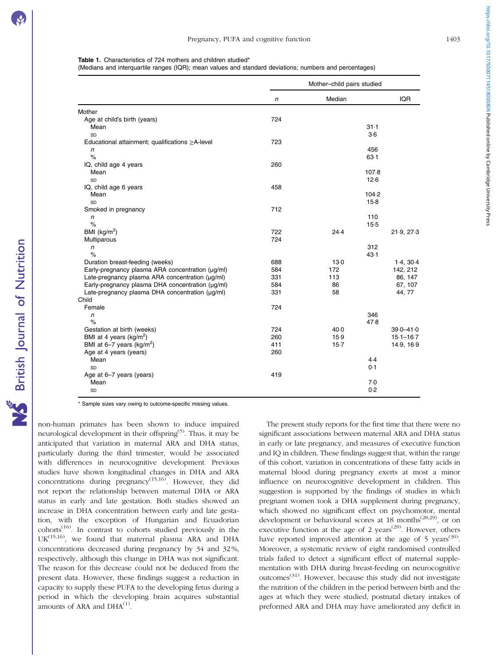### <span id="page-3-0"></span>Table 1. Characteristics of 724 mothers and children studied\*

(Medians and interquartile ranges (IQR); mean values and standard deviations; numbers and percentages)

|                                                       | Mother-child pairs studied |        |          |               |
|-------------------------------------------------------|----------------------------|--------|----------|---------------|
|                                                       | n                          | Median |          | <b>IQR</b>    |
| Mother                                                |                            |        |          |               |
| Age at child's birth (years)                          | 724                        |        |          |               |
| Mean                                                  |                            |        | $31 - 1$ |               |
| SD                                                    |                            |        | $3-6$    |               |
| Educational attainment; qualifications $\geq$ A-level | 723                        |        |          |               |
| n                                                     |                            |        | 456      |               |
| $\%$                                                  |                            |        | $63-1$   |               |
| IQ, child age 4 years                                 | 260                        |        |          |               |
| Mean                                                  |                            |        | 107.8    |               |
| SD                                                    |                            |        | $12-6$   |               |
| IQ, child age 6 years                                 | 458                        |        |          |               |
| Mean                                                  |                            |        | 104.2    |               |
| SD                                                    |                            |        | $15-8$   |               |
| Smoked in pregnancy                                   | 712                        |        |          |               |
| n                                                     |                            |        | 110      |               |
| $\%$                                                  |                            |        | $15-5$   |               |
| BMI ( $kg/m2$ )                                       | 722                        | 24.4   |          | 21.9, 27.3    |
| Multiparous                                           | 724                        |        |          |               |
| n                                                     |                            |        | 312      |               |
| $\%$                                                  |                            |        | 43.1     |               |
| Duration breast-feeding (weeks)                       | 688                        | 13.0   |          | 1.4, 30.4     |
| Early-pregnancy plasma ARA concentration (µg/ml)      | 584                        | 172    |          | 142, 212      |
| Late-pregnancy plasma ARA concentration (µg/ml)       | 331                        | 113    |          | 86, 147       |
| Early-pregnancy plasma DHA concentration (µg/ml)      | 584                        | 86     |          | 67, 107       |
| Late-pregnancy plasma DHA concentration (µg/ml)       | 331                        | 58     |          | 44, 77        |
| Child                                                 |                            |        |          |               |
| Female                                                | 724                        |        |          |               |
| $\mathsf{n}$                                          |                            |        | 346      |               |
| $\%$                                                  |                            |        | 47.8     |               |
| Gestation at birth (weeks)                            | 724                        | $40-0$ |          | $39.0 - 41.0$ |
| BMI at 4 years ( $kg/m2$ )                            | 260                        | 15.9   |          | $15.1 - 16.7$ |
| BMI at 6-7 years ( $kg/m2$ )                          | 411                        | $15-7$ |          | 14.9, 16.9    |
| Age at 4 years (years)                                | 260                        |        | 4.4      |               |
| Mean                                                  |                            |        | 0.1      |               |
| SD                                                    | 419                        |        |          |               |
| Age at 6-7 years (years)                              |                            |        | 7.0      |               |
| Mean                                                  |                            |        | 0.2      |               |
| SD                                                    |                            |        |          |               |

\* Sample sizes vary owing to outcome-specific missing values.

non-human primates has been shown to induce impaired neurological development in their offspring<sup>[\(5\)](#page-6-0)</sup>. Thus, it may be anticipated that variation in maternal ARA and DHA status, particularly during the third trimester, would be associated with differences in neurocognitive development. Previous studies have shown longitudinal changes in DHA and ARA concentrations during pregnancy<sup> $(15,16)$  $(15,16)$ </sup>. However, they did not report the relationship between maternal DHA or ARA status in early and late gestation. Both studies showed an increase in DHA concentration between early and late gestation, with the exception of Hungarian and Ecuadorian  $\text{cohorts}^{(16)}$  $\text{cohorts}^{(16)}$  $\text{cohorts}^{(16)}$ . In contrast to cohorts studied previously in the  $UK^{(15,16)}$  $UK^{(15,16)}$  $UK^{(15,16)}$ , we found that maternal plasma ARA and DHA concentrations decreased during pregnancy by 34 and 32 %, respectively, although this change in DHA was not significant. The reason for this decrease could not be deduced from the present data. However, these findings suggest a reduction in capacity to supply these PUFA to the developing fetus during a period in which the developing brain acquires substantial amounts of ARA and DHA<sup>[\(1\)](#page-6-0)</sup>.

The present study reports for the first time that there were no significant associations between maternal ARA and DHA status in early or late pregnancy, and measures of executive function and IQ in children. These findings suggest that, within the range of this cohort, variation in concentrations of these fatty acids in maternal blood during pregnancy exerts at most a minor influence on neurocognitive development in children. This suggestion is supported by the findings of studies in which pregnant women took a DHA supplement during pregnancy, which showed no significant effect on psychomotor, mental development or behavioural scores at  $18$  months<sup>[\(28](#page-7-0),[29](#page-7-0))</sup>, or on executive function at the age of 2 years<sup> $(29)$  $(29)$ </sup>. However, others have reported improved attention at the age of 5 years<sup>[\(30\)](#page-7-0)</sup>. Moreover, a systematic review of eight randomised controlled trials failed to detect a significant effect of maternal supplementation with DHA during breast-feeding on neurocognitive outcomes<sup> $(31)$  $(31)$ </sup>. However, because this study did not investigate the nutrition of the children in the period between birth and the ages at which they were studied, postnatal dietary intakes of preformed ARA and DHA may have ameliorated any deficit in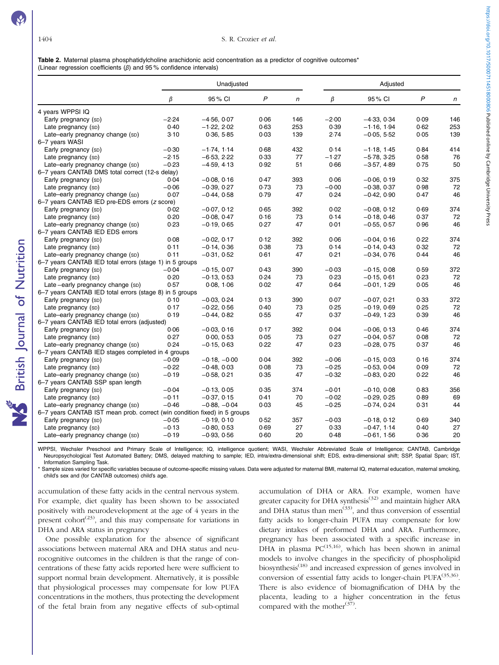NS British Journal of Nutrition

<span id="page-4-0"></span>Table 2. Maternal plasma phosphatidylcholine arachidonic acid concentration as a predictor of cognitive outcomes\* (Linear regression coefficients  $(\beta)$  and 95% confidence intervals)

| $\beta$<br>95% CI<br>P<br>β<br>95 % CI<br>P<br>n<br>n<br>4 years WPPSI IQ<br>$-2.24$<br>$-4.56, 0.07$<br>0.06<br>146<br>$-2.00$<br>$-4.33, 0.34$<br>0.09<br>146<br>Early pregnancy (SD)<br>0.40<br>$-1.22, 2.02$<br>0.63<br>253<br>0.39<br>0.62<br>253<br>$-1.16, 1.94$<br>Late pregnancy (SD)<br>3.10<br>0.36, 5.85<br>0.03<br>139<br>2.74<br>$-0.05, 5.52$<br>0.05<br>139<br>Late-early pregnancy change (SD)<br>6-7 years WASI<br>414<br>Early pregnancy (SD)<br>$-0.30$<br>$-1.74, 1.14$<br>0.68<br>432<br>0.14<br>$-1.18, 1.45$<br>0.84<br>$-2.15$<br>$-6.53.2.22$<br>0.33<br>77<br>$-1.27$<br>$-5.78, 3.25$<br>0.58<br>Late pregnancy (SD)<br>76<br>$-0.23$<br>$-4.59, 4.13$<br>0.92<br>51<br>0.66<br>0.75<br>50<br>Late-early pregnancy change (SD)<br>$-3.57, 4.89$<br>6-7 years CANTAB DMS total correct (12-s delay)<br>$-0.08, 0.16$<br>0.47<br>393<br>0.06<br>$-0.06, 0.19$<br>0.32<br>375<br>Early pregnancy (SD)<br>0.04<br>0.73<br>73<br>$-0.00$<br>0.98<br>Late pregnancy (SD)<br>$-0.06$<br>$-0.39, 0.27$<br>$-0.38, 0.37$<br>72<br>0.07<br>$-0.44, 0.58$<br>0.79<br>47<br>0.24<br>$-0.42, 0.90$<br>0.47<br>46<br>Late-early pregnancy change (SD)<br>6-7 years CANTAB IED pre-EDS errors (z score)<br>392<br>0.02<br>0.69<br>374<br>Early pregnancy (SD)<br>0.02<br>$-0.07, 0.12$<br>0.65<br>$-0.08, 0.12$<br>0.20<br>0.16<br>73<br>0.14<br>$-0.18, 0.46$<br>0.37<br>72<br>Late pregnancy (SD)<br>$-0.08, 0.47$<br>0.23<br>$-0.19, 0.65$<br>0.27<br>47<br>0.01<br>$-0.55, 0.57$<br>0.96<br>46<br>Late-early pregnancy change (SD)<br>6-7 years CANTAB IED EDS errors |
|----------------------------------------------------------------------------------------------------------------------------------------------------------------------------------------------------------------------------------------------------------------------------------------------------------------------------------------------------------------------------------------------------------------------------------------------------------------------------------------------------------------------------------------------------------------------------------------------------------------------------------------------------------------------------------------------------------------------------------------------------------------------------------------------------------------------------------------------------------------------------------------------------------------------------------------------------------------------------------------------------------------------------------------------------------------------------------------------------------------------------------------------------------------------------------------------------------------------------------------------------------------------------------------------------------------------------------------------------------------------------------------------------------------------------------------------------------------------------------------------------------------------------------------------------------------------------------------|
|                                                                                                                                                                                                                                                                                                                                                                                                                                                                                                                                                                                                                                                                                                                                                                                                                                                                                                                                                                                                                                                                                                                                                                                                                                                                                                                                                                                                                                                                                                                                                                                        |
|                                                                                                                                                                                                                                                                                                                                                                                                                                                                                                                                                                                                                                                                                                                                                                                                                                                                                                                                                                                                                                                                                                                                                                                                                                                                                                                                                                                                                                                                                                                                                                                        |
|                                                                                                                                                                                                                                                                                                                                                                                                                                                                                                                                                                                                                                                                                                                                                                                                                                                                                                                                                                                                                                                                                                                                                                                                                                                                                                                                                                                                                                                                                                                                                                                        |
|                                                                                                                                                                                                                                                                                                                                                                                                                                                                                                                                                                                                                                                                                                                                                                                                                                                                                                                                                                                                                                                                                                                                                                                                                                                                                                                                                                                                                                                                                                                                                                                        |
|                                                                                                                                                                                                                                                                                                                                                                                                                                                                                                                                                                                                                                                                                                                                                                                                                                                                                                                                                                                                                                                                                                                                                                                                                                                                                                                                                                                                                                                                                                                                                                                        |
|                                                                                                                                                                                                                                                                                                                                                                                                                                                                                                                                                                                                                                                                                                                                                                                                                                                                                                                                                                                                                                                                                                                                                                                                                                                                                                                                                                                                                                                                                                                                                                                        |
|                                                                                                                                                                                                                                                                                                                                                                                                                                                                                                                                                                                                                                                                                                                                                                                                                                                                                                                                                                                                                                                                                                                                                                                                                                                                                                                                                                                                                                                                                                                                                                                        |
|                                                                                                                                                                                                                                                                                                                                                                                                                                                                                                                                                                                                                                                                                                                                                                                                                                                                                                                                                                                                                                                                                                                                                                                                                                                                                                                                                                                                                                                                                                                                                                                        |
|                                                                                                                                                                                                                                                                                                                                                                                                                                                                                                                                                                                                                                                                                                                                                                                                                                                                                                                                                                                                                                                                                                                                                                                                                                                                                                                                                                                                                                                                                                                                                                                        |
|                                                                                                                                                                                                                                                                                                                                                                                                                                                                                                                                                                                                                                                                                                                                                                                                                                                                                                                                                                                                                                                                                                                                                                                                                                                                                                                                                                                                                                                                                                                                                                                        |
|                                                                                                                                                                                                                                                                                                                                                                                                                                                                                                                                                                                                                                                                                                                                                                                                                                                                                                                                                                                                                                                                                                                                                                                                                                                                                                                                                                                                                                                                                                                                                                                        |
|                                                                                                                                                                                                                                                                                                                                                                                                                                                                                                                                                                                                                                                                                                                                                                                                                                                                                                                                                                                                                                                                                                                                                                                                                                                                                                                                                                                                                                                                                                                                                                                        |
|                                                                                                                                                                                                                                                                                                                                                                                                                                                                                                                                                                                                                                                                                                                                                                                                                                                                                                                                                                                                                                                                                                                                                                                                                                                                                                                                                                                                                                                                                                                                                                                        |
|                                                                                                                                                                                                                                                                                                                                                                                                                                                                                                                                                                                                                                                                                                                                                                                                                                                                                                                                                                                                                                                                                                                                                                                                                                                                                                                                                                                                                                                                                                                                                                                        |
|                                                                                                                                                                                                                                                                                                                                                                                                                                                                                                                                                                                                                                                                                                                                                                                                                                                                                                                                                                                                                                                                                                                                                                                                                                                                                                                                                                                                                                                                                                                                                                                        |
|                                                                                                                                                                                                                                                                                                                                                                                                                                                                                                                                                                                                                                                                                                                                                                                                                                                                                                                                                                                                                                                                                                                                                                                                                                                                                                                                                                                                                                                                                                                                                                                        |
|                                                                                                                                                                                                                                                                                                                                                                                                                                                                                                                                                                                                                                                                                                                                                                                                                                                                                                                                                                                                                                                                                                                                                                                                                                                                                                                                                                                                                                                                                                                                                                                        |
|                                                                                                                                                                                                                                                                                                                                                                                                                                                                                                                                                                                                                                                                                                                                                                                                                                                                                                                                                                                                                                                                                                                                                                                                                                                                                                                                                                                                                                                                                                                                                                                        |
| 0.08<br>0.22<br>374<br>Early pregnancy (sp)<br>$-0.02, 0.17$<br>0.12<br>392<br>0.06<br>$-0.04, 0.16$                                                                                                                                                                                                                                                                                                                                                                                                                                                                                                                                                                                                                                                                                                                                                                                                                                                                                                                                                                                                                                                                                                                                                                                                                                                                                                                                                                                                                                                                                   |
| 0.32<br>0.11<br>$-0.14, 0.36$<br>0.38<br>73<br>0.14<br>$-0.14, 0.43$<br>72<br>Late pregnancy (SD)                                                                                                                                                                                                                                                                                                                                                                                                                                                                                                                                                                                                                                                                                                                                                                                                                                                                                                                                                                                                                                                                                                                                                                                                                                                                                                                                                                                                                                                                                      |
| 47<br>0.11<br>$-0.31, 0.52$<br>0.61<br>0.21<br>$-0.34, 0.76$<br>0.44<br>46<br>Late-early pregnancy change (SD)                                                                                                                                                                                                                                                                                                                                                                                                                                                                                                                                                                                                                                                                                                                                                                                                                                                                                                                                                                                                                                                                                                                                                                                                                                                                                                                                                                                                                                                                         |
| 6-7 years CANTAB IED total errors (stage 1) in 5 groups                                                                                                                                                                                                                                                                                                                                                                                                                                                                                                                                                                                                                                                                                                                                                                                                                                                                                                                                                                                                                                                                                                                                                                                                                                                                                                                                                                                                                                                                                                                                |
| $-0.04$<br>$-0.03$<br>372<br>Early pregnancy (sp)<br>$-0.15, 0.07$<br>0.43<br>390<br>$-0.15, 0.08$<br>0.59                                                                                                                                                                                                                                                                                                                                                                                                                                                                                                                                                                                                                                                                                                                                                                                                                                                                                                                                                                                                                                                                                                                                                                                                                                                                                                                                                                                                                                                                             |
| 0.24<br>73<br>0.23<br>$-0.15, 0.61$<br>0.23<br>Late pregnancy (SD)<br>0.20<br>$-0.13, 0.53$<br>72                                                                                                                                                                                                                                                                                                                                                                                                                                                                                                                                                                                                                                                                                                                                                                                                                                                                                                                                                                                                                                                                                                                                                                                                                                                                                                                                                                                                                                                                                      |
| Late-early pregnancy change (SD)<br>0.57<br>0.08, 1.06<br>0.02<br>47<br>0.64<br>$-0.01, 1.29$<br>0.05<br>46                                                                                                                                                                                                                                                                                                                                                                                                                                                                                                                                                                                                                                                                                                                                                                                                                                                                                                                                                                                                                                                                                                                                                                                                                                                                                                                                                                                                                                                                            |
| 6-7 years CANTAB IED total errors (stage 8) in 5 groups                                                                                                                                                                                                                                                                                                                                                                                                                                                                                                                                                                                                                                                                                                                                                                                                                                                                                                                                                                                                                                                                                                                                                                                                                                                                                                                                                                                                                                                                                                                                |
| $-0.03, 0.24$<br>0.13<br>390<br>0.07<br>0.33<br>372<br>Early pregnancy (SD)<br>0.10<br>$-0.07, 0.21$                                                                                                                                                                                                                                                                                                                                                                                                                                                                                                                                                                                                                                                                                                                                                                                                                                                                                                                                                                                                                                                                                                                                                                                                                                                                                                                                                                                                                                                                                   |
| 0.25<br>0.17<br>$-0.22, 0.56$<br>0.40<br>73<br>0.25<br>$-0.19, 0.69$<br>72<br>Late pregnancy (SD)                                                                                                                                                                                                                                                                                                                                                                                                                                                                                                                                                                                                                                                                                                                                                                                                                                                                                                                                                                                                                                                                                                                                                                                                                                                                                                                                                                                                                                                                                      |
| 0.19<br>47<br>0.37<br>0.39<br>46<br>Late-early pregnancy change (SD)<br>$-0.44, 0.82$<br>0.55<br>$-0.49, 1.23$                                                                                                                                                                                                                                                                                                                                                                                                                                                                                                                                                                                                                                                                                                                                                                                                                                                                                                                                                                                                                                                                                                                                                                                                                                                                                                                                                                                                                                                                         |
| 6-7 years CANTAB IED total errors (adjusted)                                                                                                                                                                                                                                                                                                                                                                                                                                                                                                                                                                                                                                                                                                                                                                                                                                                                                                                                                                                                                                                                                                                                                                                                                                                                                                                                                                                                                                                                                                                                           |
| 0.06<br>0.17<br>392<br>0.46<br>374<br>Early pregnancy (sp)<br>$-0.03, 0.16$<br>0.04<br>$-0.06, 0.13$                                                                                                                                                                                                                                                                                                                                                                                                                                                                                                                                                                                                                                                                                                                                                                                                                                                                                                                                                                                                                                                                                                                                                                                                                                                                                                                                                                                                                                                                                   |
| 73<br>0.08<br>Late pregnancy (SD)<br>0.27<br>0.00, 0.53<br>0.05<br>0.27<br>$-0.04.0.57$<br>72                                                                                                                                                                                                                                                                                                                                                                                                                                                                                                                                                                                                                                                                                                                                                                                                                                                                                                                                                                                                                                                                                                                                                                                                                                                                                                                                                                                                                                                                                          |
| 0.24<br>47<br>0.23<br>$-0.28, 0.75$<br>0.37<br>46<br>Late-early pregnancy change (SD)<br>$-0.15, 0.63$<br>0.22                                                                                                                                                                                                                                                                                                                                                                                                                                                                                                                                                                                                                                                                                                                                                                                                                                                                                                                                                                                                                                                                                                                                                                                                                                                                                                                                                                                                                                                                         |
| 6-7 years CANTAB IED stages completed in 4 groups                                                                                                                                                                                                                                                                                                                                                                                                                                                                                                                                                                                                                                                                                                                                                                                                                                                                                                                                                                                                                                                                                                                                                                                                                                                                                                                                                                                                                                                                                                                                      |
| $-0.09$<br>$-0.18, -0.00$<br>0.04<br>392<br>$-0.06$<br>$-0.15, 0.03$<br>0.16<br>374<br>Early pregnancy (SD)                                                                                                                                                                                                                                                                                                                                                                                                                                                                                                                                                                                                                                                                                                                                                                                                                                                                                                                                                                                                                                                                                                                                                                                                                                                                                                                                                                                                                                                                            |
| 73<br>$-0.25$<br>0.09<br>$-0.22$<br>$-0.48, 0.03$<br>0.08<br>$-0.53, 0.04$<br>72<br>Late pregnancy (SD)                                                                                                                                                                                                                                                                                                                                                                                                                                                                                                                                                                                                                                                                                                                                                                                                                                                                                                                                                                                                                                                                                                                                                                                                                                                                                                                                                                                                                                                                                |
| 47<br>$-0.32$<br>46<br>Late-early pregnancy change (SD)<br>$-0.19$<br>$-0.58, 0.21$<br>0.35<br>$-0.83, 0.20$<br>0.22                                                                                                                                                                                                                                                                                                                                                                                                                                                                                                                                                                                                                                                                                                                                                                                                                                                                                                                                                                                                                                                                                                                                                                                                                                                                                                                                                                                                                                                                   |
| 6-7 years CANTAB SSP span length                                                                                                                                                                                                                                                                                                                                                                                                                                                                                                                                                                                                                                                                                                                                                                                                                                                                                                                                                                                                                                                                                                                                                                                                                                                                                                                                                                                                                                                                                                                                                       |
| Early pregnancy (SD)<br>$-0.04$<br>$-0.13, 0.05$<br>0.35<br>374<br>$-0.01$<br>$-0.10, 0.08$<br>0.83<br>356                                                                                                                                                                                                                                                                                                                                                                                                                                                                                                                                                                                                                                                                                                                                                                                                                                                                                                                                                                                                                                                                                                                                                                                                                                                                                                                                                                                                                                                                             |
| $-0.11$<br>70<br>$-0.02$<br>$-0.29.0.25$<br>0.89<br>69<br>$-0.37, 0.15$<br>0.41<br>Late pregnancy (SD)                                                                                                                                                                                                                                                                                                                                                                                                                                                                                                                                                                                                                                                                                                                                                                                                                                                                                                                                                                                                                                                                                                                                                                                                                                                                                                                                                                                                                                                                                 |
| $-0.46$<br>0.03<br>45<br>$-0.25$<br>0.31<br>44<br>Late-early pregnancy change (SD)<br>$-0.88, -0.04$<br>$-0.74, 0.24$                                                                                                                                                                                                                                                                                                                                                                                                                                                                                                                                                                                                                                                                                                                                                                                                                                                                                                                                                                                                                                                                                                                                                                                                                                                                                                                                                                                                                                                                  |
| 6-7 years CANTAB IST mean prob. correct (win condition fixed) in 5 groups                                                                                                                                                                                                                                                                                                                                                                                                                                                                                                                                                                                                                                                                                                                                                                                                                                                                                                                                                                                                                                                                                                                                                                                                                                                                                                                                                                                                                                                                                                              |
| 340<br>Early pregnancy (sp)<br>$-0.05$<br>$-0.19, 0.10$<br>0.52<br>357<br>$-0.03$<br>$-0.18, 0.12$<br>0.69                                                                                                                                                                                                                                                                                                                                                                                                                                                                                                                                                                                                                                                                                                                                                                                                                                                                                                                                                                                                                                                                                                                                                                                                                                                                                                                                                                                                                                                                             |
| 27<br>27<br>Late pregnancy (SD)<br>$-0.13$<br>$-0.80, 0.53$<br>0.69<br>0.33<br>$-0.47, 1.14$<br>0.40                                                                                                                                                                                                                                                                                                                                                                                                                                                                                                                                                                                                                                                                                                                                                                                                                                                                                                                                                                                                                                                                                                                                                                                                                                                                                                                                                                                                                                                                                   |
| 20<br>$-0.19$<br>0.60<br>20<br>0.48<br>0.36<br>Late-early pregnancy change (SD)<br>$-0.93, 0.56$<br>$-0.61, 1.56$                                                                                                                                                                                                                                                                                                                                                                                                                                                                                                                                                                                                                                                                                                                                                                                                                                                                                                                                                                                                                                                                                                                                                                                                                                                                                                                                                                                                                                                                      |

WPPSI, Wechsler Preschool and Primary Scale of Intelligence; IQ, intelligence quotient; WASI, Wechsler Abbreviated Scale of Intelligence; CANTAB, Cambridge Neuropsychological Test Automated Battery; DMS, delayed matching to sample; IED, intra/extra-dimensional shift; EDS, extra-dimensional shift; SSP, Spatial Span; IST, Information Sampling Task.

Sample sizes varied for specific variables because of outcome-specific missing values. Data were adjusted for maternal BMI, maternal IQ, maternal education, maternal smoking, child's sex and (for CANTAB outcomes) child's age.

accumulation of these fatty acids in the central nervous system. For example, diet quality has been shown to be associated positively with neurodevelopment at the age of 4 years in the present cohort<sup> $(23)$  $(23)$ </sup>, and this may compensate for variations in DHA and ARA status in pregnancy

One possible explanation for the absence of significant associations between maternal ARA and DHA status and neurocognitive outcomes in the children is that the range of concentrations of these fatty acids reported here were sufficient to support normal brain development. Alternatively, it is possible that physiological processes may compensate for low PUFA concentrations in the mothers, thus protecting the development of the fetal brain from any negative effects of sub-optimal

accumulation of DHA or ARA. For example, women have greater capacity for DHA synthesis<sup>([32](#page-7-0))</sup> and maintain higher ARA and DHA status than men<sup> $(33)$  $(33)$ </sup>, and thus conversion of essential fatty acids to longer-chain PUFA may compensate for low dietary intakes of preformed DHA and ARA. Furthermore, pregnancy has been associated with a specific increase in DHA in plasma  $PC^{(15,16)}$  $PC^{(15,16)}$  $PC^{(15,16)}$ , which has been shown in animal models to involve changes in the specificity of phospholipid biosynthesis<sup>[\(18\)](#page-6-0)</sup> and increased expression of genes involved in conversion of essential fatty acids to longer-chain PUFA $^{(35,36)}$  $^{(35,36)}$  $^{(35,36)}$ . There is also evidence of biomagnification of DHA by the placenta, leading to a higher concentration in the fetus compared with the mother<sup> $(37)$  $(37)$ </sup>.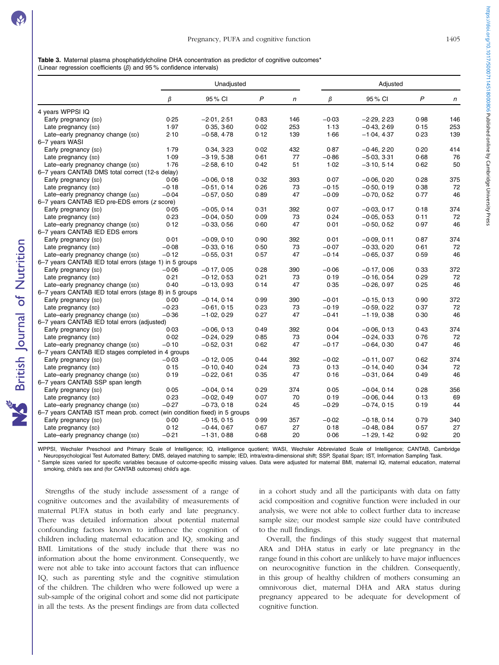<span id="page-5-0"></span>Table 3. Maternal plasma phosphatidylcholine DHA concentration as predictor of cognitive outcomes\* (Linear regression coefficients  $(\beta)$  and 95% confidence intervals)

|                                                                           |         | Unadjusted    |      |     |         | Adjusted      |      |              |  |
|---------------------------------------------------------------------------|---------|---------------|------|-----|---------|---------------|------|--------------|--|
|                                                                           | β       | 95% CI        | P    | n   | β       | 95% CI        | P    | $\mathsf{n}$ |  |
| 4 years WPPSI IQ                                                          |         |               |      |     |         |               |      |              |  |
| Early pregnancy (SD)                                                      | 0.25    | $-2.01, 2.51$ | 0.83 | 146 | $-0.03$ | $-2.29, 2.23$ | 0.98 | 146          |  |
| Late pregnancy (SD)                                                       | 1.97    | 0.35, 3.60    | 0.02 | 253 | 1.13    | $-0.43, 2.69$ | 0.15 | 253          |  |
| Late-early pregnancy change (SD)                                          | 2.10    | $-0.58, 4.78$ | 0.12 | 139 | 1.66    | $-1.04, 4.37$ | 0.23 | 139          |  |
| 6-7 years WASI                                                            |         |               |      |     |         |               |      |              |  |
| Early pregnancy (SD)                                                      | 1.79    | 0.34, 3.23    | 0.02 | 432 | 0.87    | $-0.46, 2.20$ | 0.20 | 414          |  |
| Late pregnancy (SD)                                                       | 1.09    | $-3.19, 5.38$ | 0.61 | 77  | $-0.86$ | $-5.03, 3.31$ | 0.68 | 76           |  |
| Late-early pregnancy change (SD)                                          | 1.76    | $-2.58, 6.10$ | 0.42 | 51  | 1.02    | $-3.10, 5.14$ | 0.62 | 50           |  |
| 6-7 years CANTAB DMS total correct (12-s delay)                           |         |               |      |     |         |               |      |              |  |
| Early pregnancy (SD)                                                      | 0.06    | $-0.06, 0.18$ | 0.32 | 393 | 0.07    | $-0.06, 0.20$ | 0.28 | 375          |  |
| Late pregnancy (SD)                                                       | $-0.18$ | $-0.51, 0.14$ | 0.26 | 73  | $-0.15$ | $-0.50, 0.19$ | 0.38 | 72           |  |
| Late-early pregnancy change (SD)                                          | $-0.04$ | $-0.57, 0.50$ | 0.89 | 47  | $-0.09$ | $-0.70, 0.52$ | 0.77 | 46           |  |
| 6-7 years CANTAB IED pre-EDS errors (z score)                             |         |               |      |     |         |               |      |              |  |
| Early pregnancy (sp)                                                      | 0.05    | $-0.05, 0.14$ | 0.31 | 392 | 0.07    | $-0.03, 0.17$ | 0.18 | 374          |  |
| Late pregnancy (SD)                                                       | 0.23    | $-0.04, 0.50$ | 0.09 | 73  | 0.24    | $-0.05, 0.53$ | 0.11 | 72           |  |
| Late-early pregnancy change (SD)                                          | 0.12    | $-0.33, 0.56$ | 0.60 | 47  | 0.01    | $-0.50, 0.52$ | 0.97 | 46           |  |
| 6-7 years CANTAB IED EDS errors                                           |         |               |      |     |         |               |      |              |  |
| Early pregnancy (SD)                                                      | 0.01    | $-0.09, 0.10$ | 0.90 | 392 | 0.01    | $-0.09, 0.11$ | 0.87 | 374          |  |
| Late pregnancy (SD)                                                       | $-0.08$ | $-0.33, 0.16$ | 0.50 | 73  | $-0.07$ | $-0.33, 0.20$ | 0.61 | 72           |  |
| Late-early pregnancy change (SD)                                          | $-0.12$ | $-0.55, 0.31$ | 0.57 | 47  | $-0.14$ | $-0.65, 0.37$ | 0.59 | 46           |  |
| 6-7 years CANTAB IED total errors (stage 1) in 5 groups                   |         |               |      |     |         |               |      |              |  |
| Early pregnancy (SD)                                                      | $-0.06$ | $-0.17, 0.05$ | 0.28 | 390 | $-0.06$ | $-0.17, 0.06$ | 0.33 | 372          |  |
| Late pregnancy (SD)                                                       | 0.21    | $-0.12, 0.53$ | 0.21 | 73  | 0.19    | $-0.16, 0.54$ | 0.29 | 72           |  |
| Late-early pregnancy change (SD)                                          | 0.40    | $-0.13, 0.93$ | 0.14 | 47  | 0.35    | $-0.26, 0.97$ | 0.25 | 46           |  |
| 6-7 years CANTAB IED total errors (stage 8) in 5 groups                   |         |               |      |     |         |               |      |              |  |
| Early pregnancy (SD)                                                      | 0.00    | $-0.14, 0.14$ | 0.99 | 390 | $-0.01$ | $-0.15, 0.13$ | 0.90 | 372          |  |
| Late pregnancy (SD)                                                       | $-0.23$ | $-0.61, 0.15$ | 0.23 | 73  | $-0.19$ | $-0.59, 0.22$ | 0.37 | 72           |  |
| Late-early pregnancy change (SD)                                          | $-0.36$ | $-1.02, 0.29$ | 0.27 | 47  | $-0.41$ | $-1.19, 0.38$ | 0.30 | 46           |  |
| 6-7 years CANTAB IED total errors (adjusted)                              |         |               |      |     |         |               |      |              |  |
| Early pregnancy (SD)                                                      | 0.03    | $-0.06, 0.13$ | 0.49 | 392 | 0.04    | $-0.06, 0.13$ | 0.43 | 374          |  |
| Late pregnancy (SD)                                                       | 0.02    | $-0.24, 0.29$ | 0.85 | 73  | 0.04    | $-0.24, 0.33$ | 0.76 | 72           |  |
| Late-early pregnancy change (SD)                                          | $-0.10$ | $-0.52, 0.31$ | 0.62 | 47  | $-0.17$ | $-0.64, 0.30$ | 0.47 | 46           |  |
| 6-7 years CANTAB IED stages completed in 4 groups                         |         |               |      |     |         |               |      |              |  |
| Early pregnancy (SD)                                                      | $-0.03$ | $-0.12, 0.05$ | 0.44 | 392 | $-0.02$ | $-0.11, 0.07$ | 0.62 | 374          |  |
| Late pregnancy (SD)                                                       | 0.15    | $-0.10, 0.40$ | 0.24 | 73  | 0.13    | $-0.14, 0.40$ | 0.34 | 72           |  |
| Late-early pregnancy change (SD)                                          | 0.19    | $-0.22, 0.61$ | 0.35 | 47  | 0.16    | $-0.31, 0.64$ | 0.49 | 46           |  |
| 6-7 years CANTAB SSP span length                                          |         |               |      |     |         |               |      |              |  |
| Early pregnancy (SD)                                                      | 0.05    | $-0.04, 0.14$ | 0.29 | 374 | 0.05    | $-0.04, 0.14$ | 0.28 | 356          |  |
| Late pregnancy (SD)                                                       | 0.23    | $-0.02, 0.49$ | 0.07 | 70  | 0.19    | $-0.06.0.44$  | 0.13 | 69           |  |
| Late-early pregnancy change (SD)                                          | $-0.27$ | $-0.73, 0.18$ | 0.24 | 45  | $-0.29$ | $-0.74, 0.15$ | 0.19 | 44           |  |
| 6-7 years CANTAB IST mean prob. correct (win condition fixed) in 5 groups |         |               |      |     |         |               |      |              |  |
| Early pregnancy (SD)                                                      | 0.00    | $-0.15, 0.15$ | 0.99 | 357 | $-0.02$ | $-0.18, 0.14$ | 0.79 | 340          |  |
| Late pregnancy (SD)                                                       | 0.12    | $-0.44, 0.67$ | 0.67 | 27  | 0.18    | $-0.48, 0.84$ | 0.57 | 27           |  |
| Late-early pregnancy change (SD)                                          | $-0.21$ | $-1.31, 0.88$ | 0.68 | 20  | 0.06    | $-1.29, 1.42$ | 0.92 | 20           |  |

WPPSI, Wechsler Preschool and Primary Scale of Intelligence; IQ, intelligence quotient; WASI, Wechsler Abbreviated Scale of Intelligence; CANTAB, Cambridge Neuropsychological Test Automated Battery; DMS, delayed matching to sample; IED, intra/extra-dimensional shift; SSP, Spatial Span; IST, Information Sampling Task.

Sample sizes varied for specific variables because of outcome-specific missing values. Data were adjusted for maternal BMI, maternal IQ, maternal education, maternal smoking, child's sex and (for CANTAB outcomes) child's age.

Strengths of the study include assessment of a range of cognitive outcomes and the availability of measurements of maternal PUFA status in both early and late pregnancy. There was detailed information about potential maternal confounding factors known to influence the cognition of children including maternal education and IQ, smoking and BMI. Limitations of the study include that there was no information about the home environment. Consequently, we were not able to take into account factors that can influence IQ, such as parenting style and the cognitive stimulation of the children. The children who were followed up were a sub-sample of the original cohort and some did not participate in all the tests. As the present findings are from data collected in a cohort study and all the participants with data on fatty acid composition and cognitive function were included in our analysis, we were not able to collect further data to increase sample size; our modest sample size could have contributed to the null findings.

Overall, the findings of this study suggest that maternal ARA and DHA status in early or late pregnancy in the range found in this cohort are unlikely to have major influences on neurocognitive function in the children. Consequently, in this group of healthy children of mothers consuming an omnivorous diet, maternal DHA and ARA status during pregnancy appeared to be adequate for development of cognitive function.

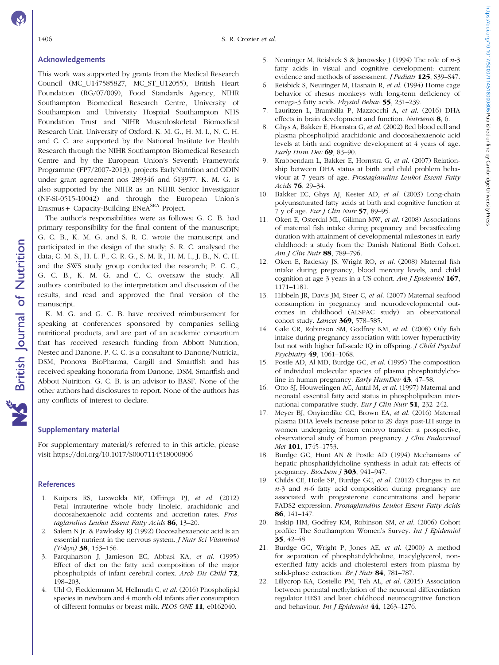### <span id="page-6-0"></span>Acknowledgements

This work was supported by grants from the Medical Research Council (MC\_U147585827, MC\_ST\_U12055), British Heart Foundation (RG/07/009), Food Standards Agency, NIHR Southampton Biomedical Research Centre, University of Southampton and University Hospital Southampton NHS Foundation Trust and NIHR Musculoskeletal Biomedical Research Unit, University of Oxford. K. M. G., H. M. I., N. C. H. and C. C. are supported by the National Institute for Health Research through the NIHR Southampton Biomedical Research Centre and by the European Union's Seventh Framework Programme (FP7/2007-2013), projects EarlyNutrition and ODIN under grant agreement nos 289346 and 613977. K. M. G. is also supported by the NIHR as an NIHR Senior Investigator (NF-SI-0515-10042) and through the European Union's Erasmus + Capacity-Building ENeA<sup>SEA</sup> Project.

The author's responsibilities were as follows: G. C. B. had primary responsibility for the final content of the manuscript; G. C. B., K. M. G. and S. R. C. wrote the manuscript and participated in the design of the study; S. R. C. analysed the data; C. M. S., H. L. F., C. R. G., S. M. R., H. M. I., J. B., N. C. H. and the SWS study group conducted the research; P. C. C., G. C. B., K. M. G. and C. C. oversaw the study. All authors contributed to the interpretation and discussion of the results, and read and approved the final version of the manuscript.

K. M. G. and G. C. B. have received reimbursement for speaking at conferences sponsored by companies selling nutritional products, and are part of an academic consortium that has received research funding from Abbott Nutrition, Nestec and Danone. P. C. C. is a consultant to Danone/Nutricia, DSM, Pronova BioPharma, Cargill and Smartfish and has received speaking honoraria from Danone, DSM, Smartfish and Abbott Nutrition. G. C. B. is an advisor to BASF. None of the other authors had disclosures to report. None of the authors has any conflicts of interest to declare.

### Supplementary material

For supplementary material/s referred to in this article, please visit<https://doi.org/10.1017/S0007114518000806>

### References

- 1. Kuipers RS, Luxwolda MF, Offringa PJ, et al. (2012) Fetal intrauterine whole body linoleic, arachidonic and docosahexaenoic acid contents and accretion rates. Prostaglandins Leukot Essent Fatty Acids 86, 13-20.
- 2. Salem N Jr. & Pawlosky RJ (1992) Docosahexaenoic acid is an essential nutrient in the nervous system. J Nutr Sci Vitaminol (Tokyo) 38, 153–156.
- 3. Farquharson J, Jamieson EC, Abbasi KA, et al. (1995) Effect of diet on the fatty acid composition of the major phospholipids of infant cerebral cortex. Arch Dis Child 72, 198–203.
- 4. Uhl O, Fleddermann M, Hellmuth C, et al. (2016) Phospholipid species in newborn and 4 month old infants after consumption of different formulas or breast milk. PLOS ONE 11, e0162040.
- 5. Neuringer M, Reisbick S & Janowsky J (1994) The role of  $n-3$ fatty acids in visual and cognitive development: current evidence and methods of assessment. J Pediatr 125, S39–S47.
- 6. Reisbick S, Neuringer M, Hasnain R, et al. (1994) Home cage behavior of rhesus monkeys with long-term deficiency of omega-3 fatty acids. Physiol Behav 55, 231–239.
- 7. Lauritzen L, Brambilla P, Mazzocchi A, et al. (2016) DHA effects in brain development and function. Nutrients 8, 6.
- 8. Ghys A, Bakker E, Hornstra G, et al. (2002) Red blood cell and plasma phospholipid arachidonic and docosahexaenoic acid levels at birth and cognitive development at 4 years of age. Early Hum Dev  $69$ , 83-90.
- 9. Krabbendam L, Bakker E, Hornstra G, et al. (2007) Relationship between DHA status at birth and child problem behaviour at 7 years of age. Prostaglandins Leukot Essent Fatty Acids 76, 29–34.
- 10. Bakker EC, Ghys AJ, Kester AD, et al. (2003) Long-chain polyunsaturated fatty acids at birth and cognitive function at 7 y of age. Eur J Clin Nutr 57, 89–95.
- 11. Oken E, Osterdal ML, Gillman MW, et al. (2008) Associations of maternal fish intake during pregnancy and breastfeeding duration with attainment of developmental milestones in early childhood: a study from the Danish National Birth Cohort. Am J Clin Nutr 88, 789–796.
- 12. Oken E, Radesky JS, Wright RO, et al. (2008) Maternal fish intake during pregnancy, blood mercury levels, and child cognition at age 3 years in a US cohort. Am *J Epidemiol* **167**, 1171–1181.
- 13. Hibbeln JR, Davis JM, Steer C, et al. (2007) Maternal seafood consumption in pregnancy and neurodevelopmental outcomes in childhood (ALSPAC study): an observational cohort study. *Lancet* **369**, 578-585.
- 14. Gale CR, Robinson SM, Godfrey KM, et al. (2008) Oily fish intake during pregnancy association with lower hyperactivity but not with higher full-scale IO in offspring. *J Child Psychol* Psychiatry 49, 1061–1068.
- 15. Postle AD, Al MD, Burdge GC, et al. (1995) The composition of individual molecular species of plasma phosphatidylcholine in human pregnancy. *Early HumDev* 43, 47–58.
- 16. Otto SJ, Houwelingen AC, Antal M, et al. (1997) Maternal and neonatal essential fatty acid status in phospholipids:an international comparative study. Eur J Clin Nutr 51, 232-242.
- 17. Meyer BJ, Onyiaodike CC, Brown EA, et al. (2016) Maternal plasma DHA levels increase prior to 29 days post-LH surge in women undergoing frozen embryo transfer: a prospective, observational study of human pregnancy. J Clin Endocrinol Met 101, 1745-1753.
- 18. Burdge GC, Hunt AN & Postle AD (1994) Mechanisms of hepatic phosphatidylcholine synthesis in adult rat: effects of pregnancy. Biochem J 303, 941-947.
- 19. Childs CE, Hoile SP, Burdge GC, et al. (2012) Changes in rat  $n-3$  and  $n-6$  fatty acid composition during pregnancy are associated with progesterone concentrations and hepatic FADS2 expression. Prostaglandins Leukot Essent Fatty Acids 86, 141–147.
- 20. Inskip HM, Godfrey KM, Robinson SM, et al. (2006) Cohort profile: The Southampton Women's Survey. Int J Epidemiol 35, 42–48.
- 21. Burdge GC, Wright P, Jones AE, et al. (2000) A method for separation of phosphatidylcholine, triacylglycerol, nonesterified fatty acids and cholesterol esters from plasma by solid-phase extraction. Br J Nutr 84, 781-787.
- 22. Lillycrop KA, Costello PM, Teh AL, et al. (2015) Association between perinatal methylation of the neuronal differentiation regulator HES1 and later childhood neurocognitive function and behaviour. Int J Epidemiol 44, 1263-1276.